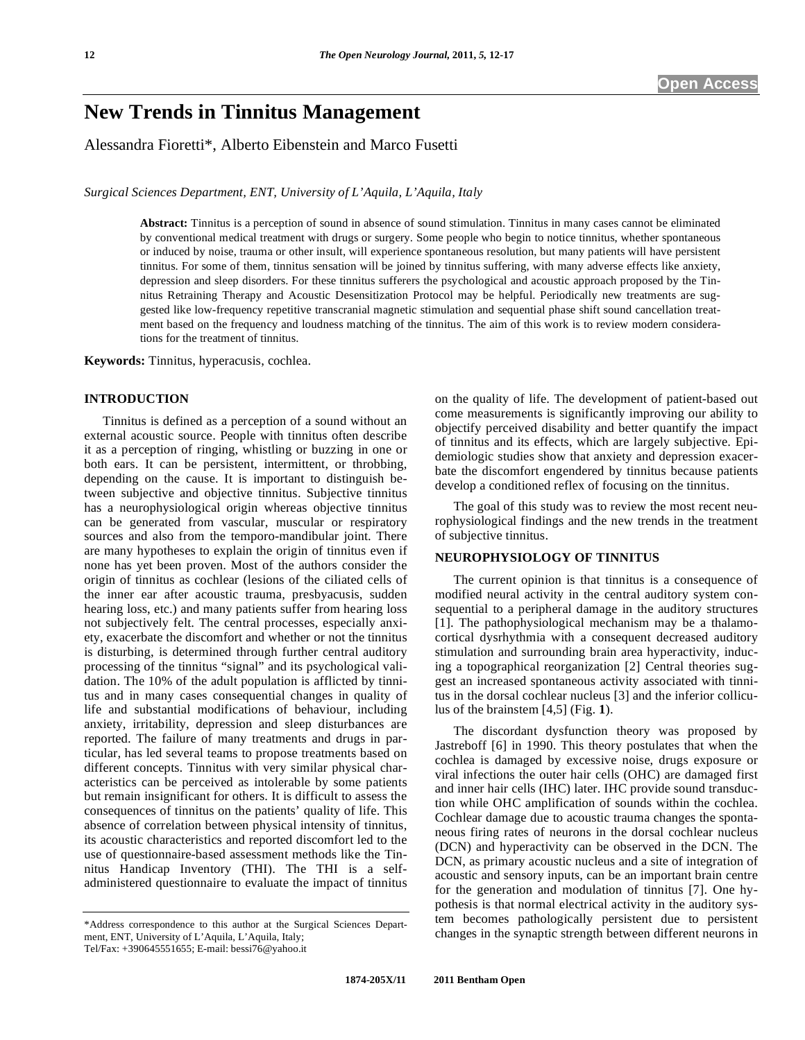# **New Trends in Tinnitus Management**

Alessandra Fioretti\*, Alberto Eibenstein and Marco Fusetti

*Surgical Sciences Department, ENT, University of L'Aquila, L'Aquila, Italy* 

**Abstract:** Tinnitus is a perception of sound in absence of sound stimulation. Tinnitus in many cases cannot be eliminated by conventional medical treatment with drugs or surgery. Some people who begin to notice tinnitus, whether spontaneous or induced by noise, trauma or other insult, will experience spontaneous resolution, but many patients will have persistent tinnitus. For some of them, tinnitus sensation will be joined by tinnitus suffering, with many adverse effects like anxiety, depression and sleep disorders. For these tinnitus sufferers the psychological and acoustic approach proposed by the Tinnitus Retraining Therapy and Acoustic Desensitization Protocol may be helpful. Periodically new treatments are suggested like low-frequency repetitive transcranial magnetic stimulation and sequential phase shift sound cancellation treatment based on the frequency and loudness matching of the tinnitus. The aim of this work is to review modern considerations for the treatment of tinnitus.

**Keywords:** Tinnitus, hyperacusis, cochlea.

## **INTRODUCTION**

 Tinnitus is defined as a perception of a sound without an external acoustic source. People with tinnitus often describe it as a perception of ringing, whistling or buzzing in one or both ears. It can be persistent, intermittent, or throbbing, depending on the cause. It is important to distinguish between subjective and objective tinnitus. Subjective tinnitus has a neurophysiological origin whereas objective tinnitus can be generated from vascular, muscular or respiratory sources and also from the temporo-mandibular joint. There are many hypotheses to explain the origin of tinnitus even if none has yet been proven. Most of the authors consider the origin of tinnitus as cochlear (lesions of the ciliated cells of the inner ear after acoustic trauma, presbyacusis, sudden hearing loss, etc.) and many patients suffer from hearing loss not subjectively felt. The central processes, especially anxiety, exacerbate the discomfort and whether or not the tinnitus is disturbing, is determined through further central auditory processing of the tinnitus "signal" and its psychological validation. The 10% of the adult population is afflicted by tinnitus and in many cases consequential changes in quality of life and substantial modifications of behaviour, including anxiety, irritability, depression and sleep disturbances are reported. The failure of many treatments and drugs in particular, has led several teams to propose treatments based on different concepts. Tinnitus with very similar physical characteristics can be perceived as intolerable by some patients but remain insignificant for others. It is difficult to assess the consequences of tinnitus on the patients' quality of life. This absence of correlation between physical intensity of tinnitus, its acoustic characteristics and reported discomfort led to the use of questionnaire-based assessment methods like the Tinnitus Handicap Inventory (THI). The THI is a selfadministered questionnaire to evaluate the impact of tinnitus

on the quality of life. The development of patient-based out come measurements is significantly improving our ability to objectify perceived disability and better quantify the impact of tinnitus and its effects, which are largely subjective. Epidemiologic studies show that anxiety and depression exacerbate the discomfort engendered by tinnitus because patients develop a conditioned reflex of focusing on the tinnitus.

 The goal of this study was to review the most recent neurophysiological findings and the new trends in the treatment of subjective tinnitus.

## **NEUROPHYSIOLOGY OF TINNITUS**

 The current opinion is that tinnitus is a consequence of modified neural activity in the central auditory system consequential to a peripheral damage in the auditory structures [1]. The pathophysiological mechanism may be a thalamocortical dysrhythmia with a consequent decreased auditory stimulation and surrounding brain area hyperactivity, inducing a topographical reorganization [2] Central theories suggest an increased spontaneous activity associated with tinnitus in the dorsal cochlear nucleus [3] and the inferior colliculus of the brainstem [4,5] (Fig. **1**).

 The discordant dysfunction theory was proposed by Jastreboff [6] in 1990. This theory postulates that when the cochlea is damaged by excessive noise, drugs exposure or viral infections the outer hair cells (OHC) are damaged first and inner hair cells (IHC) later. IHC provide sound transduction while OHC amplification of sounds within the cochlea. Cochlear damage due to acoustic trauma changes the spontaneous firing rates of neurons in the dorsal cochlear nucleus (DCN) and hyperactivity can be observed in the DCN. The DCN, as primary acoustic nucleus and a site of integration of acoustic and sensory inputs, can be an important brain centre for the generation and modulation of tinnitus [7]. One hypothesis is that normal electrical activity in the auditory system becomes pathologically persistent due to persistent changes in the synaptic strength between different neurons in

<sup>\*</sup>Address correspondence to this author at the Surgical Sciences Department, ENT, University of L'Aquila, L'Aquila, Italy; Tel/Fax: +390645551655; E-mail: bessi76@yahoo.it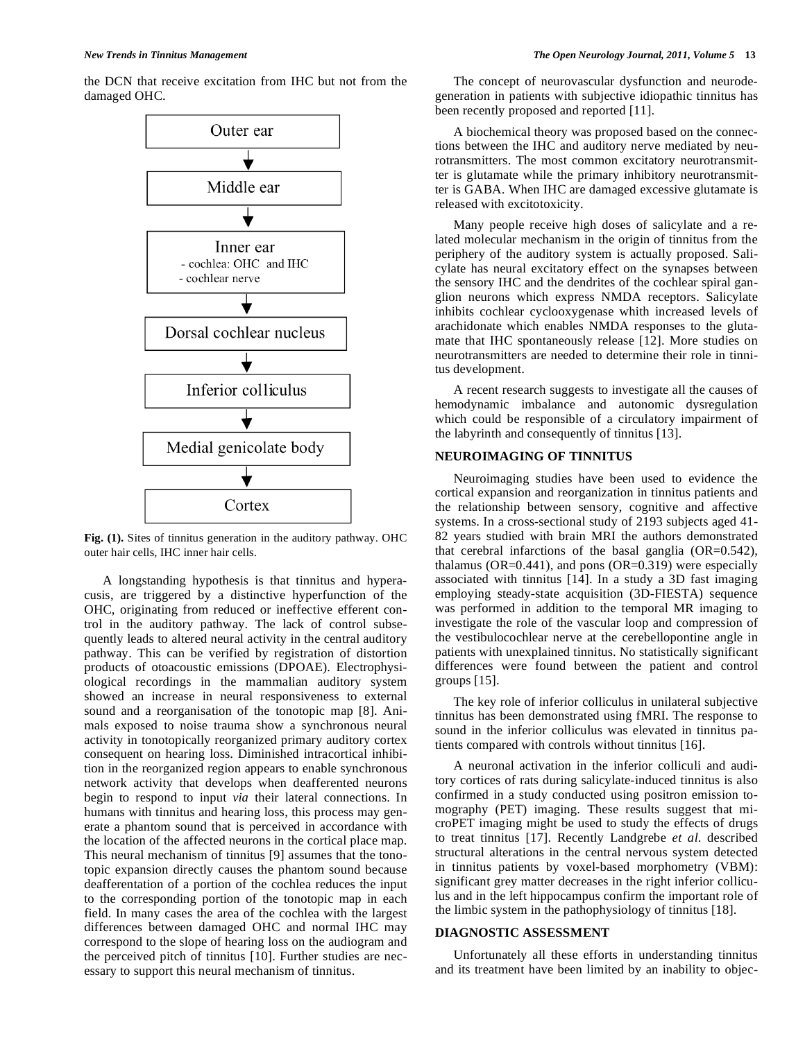the DCN that receive excitation from IHC but not from the damaged OHC.





 A longstanding hypothesis is that tinnitus and hyperacusis, are triggered by a distinctive hyperfunction of the OHC, originating from reduced or ineffective efferent control in the auditory pathway. The lack of control subsequently leads to altered neural activity in the central auditory pathway. This can be verified by registration of distortion products of otoacoustic emissions (DPOAE). Electrophysiological recordings in the mammalian auditory system showed an increase in neural responsiveness to external sound and a reorganisation of the tonotopic map [8]. Animals exposed to noise trauma show a synchronous neural activity in tonotopically reorganized primary auditory cortex consequent on hearing loss. Diminished intracortical inhibition in the reorganized region appears to enable synchronous network activity that develops when deafferented neurons begin to respond to input *via* their lateral connections. In humans with tinnitus and hearing loss, this process may generate a phantom sound that is perceived in accordance with the location of the affected neurons in the cortical place map. This neural mechanism of tinnitus [9] assumes that the tonotopic expansion directly causes the phantom sound because deafferentation of a portion of the cochlea reduces the input to the corresponding portion of the tonotopic map in each field. In many cases the area of the cochlea with the largest differences between damaged OHC and normal IHC may correspond to the slope of hearing loss on the audiogram and the perceived pitch of tinnitus [10]. Further studies are necessary to support this neural mechanism of tinnitus.

 The concept of neurovascular dysfunction and neurodegeneration in patients with subjective idiopathic tinnitus has been recently proposed and reported [11].

 A biochemical theory was proposed based on the connections between the IHC and auditory nerve mediated by neurotransmitters. The most common excitatory neurotransmitter is glutamate while the primary inhibitory neurotransmitter is GABA. When IHC are damaged excessive glutamate is released with excitotoxicity.

 Many people receive high doses of salicylate and a related molecular mechanism in the origin of tinnitus from the periphery of the auditory system is actually proposed. Salicylate has neural excitatory effect on the synapses between the sensory IHC and the dendrites of the cochlear spiral ganglion neurons which express NMDA receptors. Salicylate inhibits cochlear cyclooxygenase whith increased levels of arachidonate which enables NMDA responses to the glutamate that IHC spontaneously release [12]. More studies on neurotransmitters are needed to determine their role in tinnitus development.

 A recent research suggests to investigate all the causes of hemodynamic imbalance and autonomic dysregulation which could be responsible of a circulatory impairment of the labyrinth and consequently of tinnitus [13].

# **NEUROIMAGING OF TINNITUS**

 Neuroimaging studies have been used to evidence the cortical expansion and reorganization in tinnitus patients and the relationship between sensory, cognitive and affective systems. In a cross-sectional study of 2193 subjects aged 41- 82 years studied with brain MRI the authors demonstrated that cerebral infarctions of the basal ganglia (OR=0.542), thalamus ( $OR=0.441$ ), and pons ( $OR=0.319$ ) were especially associated with tinnitus [14]. In a study a 3D fast imaging employing steady-state acquisition (3D-FIESTA) sequence was performed in addition to the temporal MR imaging to investigate the role of the vascular loop and compression of the vestibulocochlear nerve at the cerebellopontine angle in patients with unexplained tinnitus. No statistically significant differences were found between the patient and control groups [15].

 The key role of inferior colliculus in unilateral subjective tinnitus has been demonstrated using fMRI. The response to sound in the inferior colliculus was elevated in tinnitus patients compared with controls without tinnitus [16].

 A neuronal activation in the inferior colliculi and auditory cortices of rats during salicylate-induced tinnitus is also confirmed in a study conducted using positron emission tomography (PET) imaging. These results suggest that microPET imaging might be used to study the effects of drugs to treat tinnitus [17]. Recently Landgrebe *et al*. described structural alterations in the central nervous system detected in tinnitus patients by voxel-based morphometry (VBM): significant grey matter decreases in the right inferior colliculus and in the left hippocampus confirm the important role of the limbic system in the pathophysiology of tinnitus [18].

# **DIAGNOSTIC ASSESSMENT**

 Unfortunately all these efforts in understanding tinnitus and its treatment have been limited by an inability to objec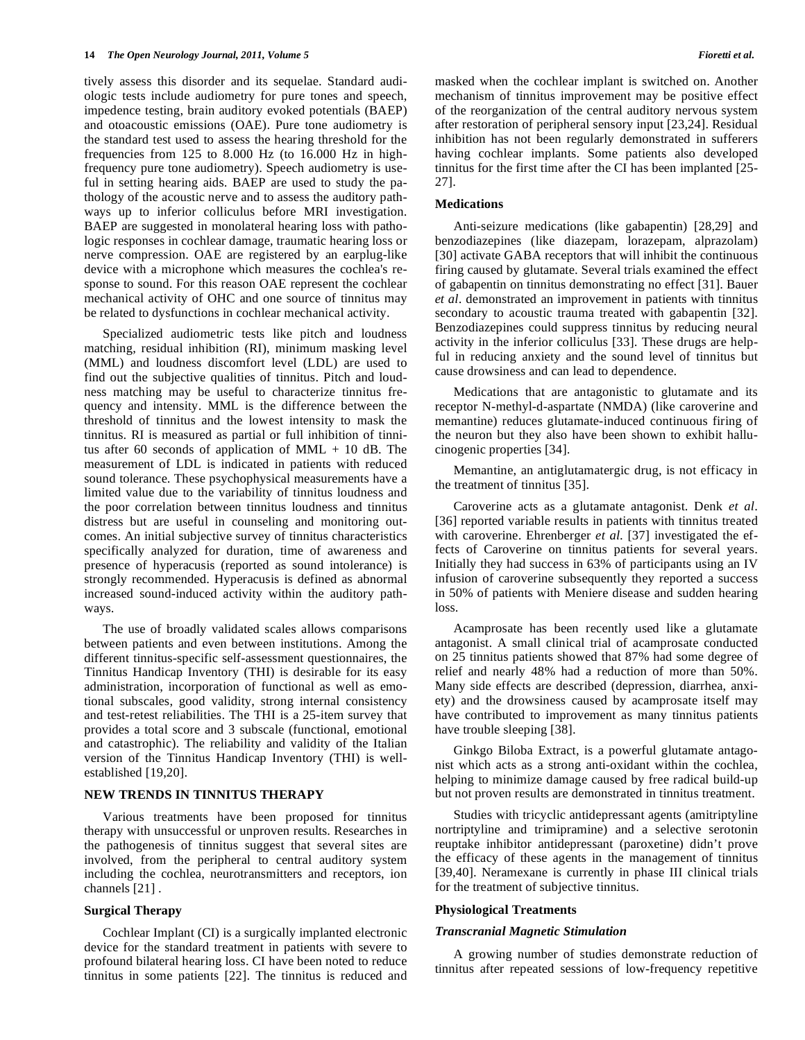tively assess this disorder and its sequelae. Standard audiologic tests include audiometry for pure tones and speech, impedence testing, brain auditory evoked potentials (BAEP) and otoacoustic emissions (OAE). Pure tone audiometry is the standard test used to assess the hearing threshold for the frequencies from 125 to 8.000 Hz (to 16.000 Hz in highfrequency pure tone audiometry). Speech audiometry is useful in setting hearing aids. BAEP are used to study the pathology of the acoustic nerve and to assess the auditory pathways up to inferior colliculus before MRI investigation. BAEP are suggested in monolateral hearing loss with pathologic responses in cochlear damage, traumatic hearing loss or nerve compression. OAE are registered by an earplug-like device with a microphone which measures the cochlea's response to sound. For this reason OAE represent the cochlear mechanical activity of OHC and one source of tinnitus may be related to dysfunctions in cochlear mechanical activity.

 Specialized audiometric tests like pitch and loudness matching, residual inhibition (RI), minimum masking level (MML) and loudness discomfort level (LDL) are used to find out the subjective qualities of tinnitus. Pitch and loudness matching may be useful to characterize tinnitus frequency and intensity. MML is the difference between the threshold of tinnitus and the lowest intensity to mask the tinnitus. RI is measured as partial or full inhibition of tinnitus after 60 seconds of application of MML  $+$  10 dB. The measurement of LDL is indicated in patients with reduced sound tolerance. These psychophysical measurements have a limited value due to the variability of tinnitus loudness and the poor correlation between tinnitus loudness and tinnitus distress but are useful in counseling and monitoring outcomes. An initial subjective survey of tinnitus characteristics specifically analyzed for duration, time of awareness and presence of hyperacusis (reported as sound intolerance) is strongly recommended. Hyperacusis is defined as abnormal increased sound-induced activity within the auditory pathways.

 The use of broadly validated scales allows comparisons between patients and even between institutions. Among the different tinnitus-specific self-assessment questionnaires, the Tinnitus Handicap Inventory (THI) is desirable for its easy administration, incorporation of functional as well as emotional subscales, good validity, strong internal consistency and test-retest reliabilities. The THI is a 25-item survey that provides a total score and 3 subscale (functional, emotional and catastrophic). The reliability and validity of the Italian version of the Tinnitus Handicap Inventory (THI) is wellestablished [19,20].

# **NEW TRENDS IN TINNITUS THERAPY**

 Various treatments have been proposed for tinnitus therapy with unsuccessful or unproven results. Researches in the pathogenesis of tinnitus suggest that several sites are involved, from the peripheral to central auditory system including the cochlea, neurotransmitters and receptors, ion channels [21] .

### **Surgical Therapy**

 Cochlear Implant (CI) is a surgically implanted electronic device for the standard treatment in patients with severe to profound bilateral hearing loss. CI have been noted to reduce tinnitus in some patients [22]. The tinnitus is reduced and masked when the cochlear implant is switched on. Another mechanism of tinnitus improvement may be positive effect of the reorganization of the central auditory nervous system after restoration of peripheral sensory input [23,24]. Residual inhibition has not been regularly demonstrated in sufferers having cochlear implants. Some patients also developed tinnitus for the first time after the CI has been implanted [25- 27].

# **Medications**

 Anti-seizure medications (like gabapentin) [28,29] and benzodiazepines (like diazepam, lorazepam, alprazolam) [30] activate GABA receptors that will inhibit the continuous firing caused by glutamate. Several trials examined the effect of gabapentin on tinnitus demonstrating no effect [31]. Bauer *et al*. demonstrated an improvement in patients with tinnitus secondary to acoustic trauma treated with gabapentin [32]. Benzodiazepines could suppress tinnitus by reducing neural activity in the inferior colliculus [33]. These drugs are helpful in reducing anxiety and the sound level of tinnitus but cause drowsiness and can lead to dependence.

 Medications that are antagonistic to glutamate and its receptor N-methyl-d-aspartate (NMDA) (like caroverine and memantine) reduces glutamate-induced continuous firing of the neuron but they also have been shown to exhibit hallucinogenic properties [34].

 Memantine, an antiglutamatergic drug, is not efficacy in the treatment of tinnitus [35].

 Caroverine acts as a glutamate antagonist. Denk *et al*. [36] reported variable results in patients with tinnitus treated with caroverine. Ehrenberger *et al*. [37] investigated the effects of Caroverine on tinnitus patients for several years. Initially they had success in 63% of participants using an IV infusion of caroverine subsequently they reported a success in 50% of patients with Meniere disease and sudden hearing loss.

 Acamprosate has been recently used like a glutamate antagonist. A small clinical trial of acamprosate conducted on 25 tinnitus patients showed that 87% had some degree of relief and nearly 48% had a reduction of more than 50%. Many side effects are described (depression, diarrhea, anxiety) and the drowsiness caused by acamprosate itself may have contributed to improvement as many tinnitus patients have trouble sleeping [38].

 Ginkgo Biloba Extract, is a powerful glutamate antagonist which acts as a strong anti-oxidant within the cochlea, helping to minimize damage caused by free radical build-up but not proven results are demonstrated in tinnitus treatment.

 Studies with tricyclic antidepressant agents (amitriptyline nortriptyline and trimipramine) and a selective serotonin reuptake inhibitor antidepressant (paroxetine) didn't prove the efficacy of these agents in the management of tinnitus [39,40]. Neramexane is currently in phase III clinical trials for the treatment of subjective tinnitus.

# **Physiological Treatments**

### *Transcranial Magnetic Stimulation*

 A growing number of studies demonstrate reduction of tinnitus after repeated sessions of low-frequency repetitive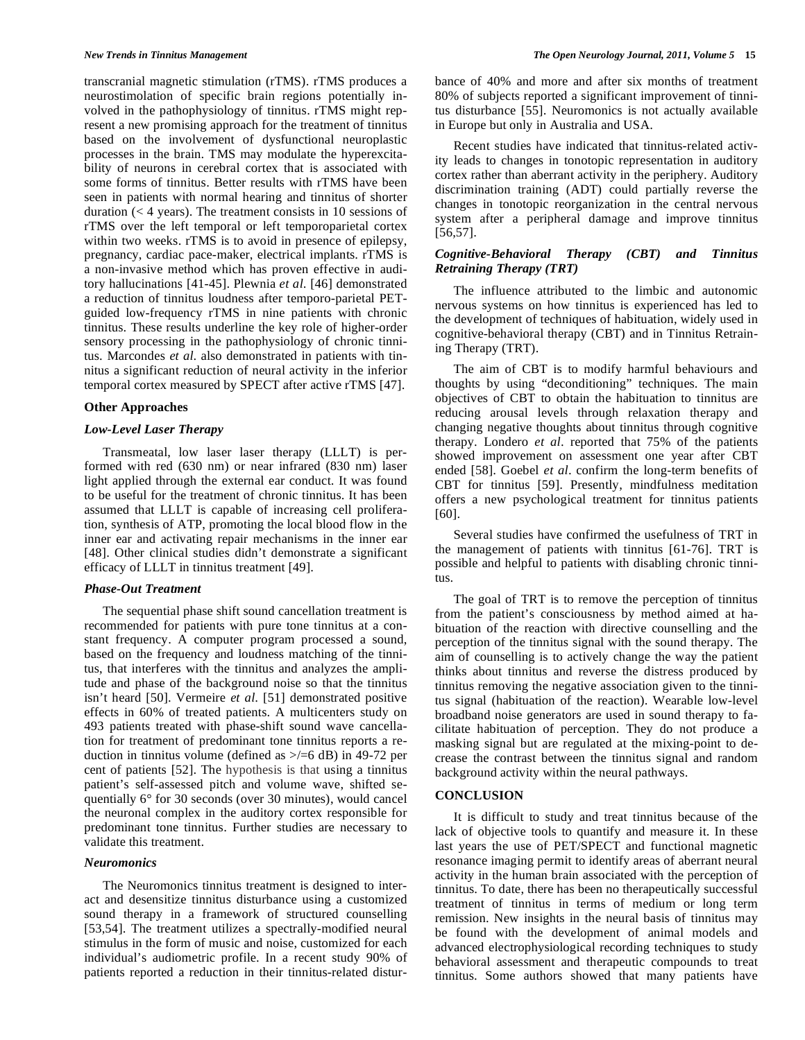transcranial magnetic stimulation (rTMS). rTMS produces a neurostimolation of specific brain regions potentially involved in the pathophysiology of tinnitus. rTMS might represent a new promising approach for the treatment of tinnitus based on the involvement of dysfunctional neuroplastic processes in the brain. TMS may modulate the hyperexcitability of neurons in cerebral cortex that is associated with some forms of tinnitus. Better results with rTMS have been seen in patients with normal hearing and tinnitus of shorter duration (< 4 years). The treatment consists in 10 sessions of rTMS over the left temporal or left temporoparietal cortex within two weeks. rTMS is to avoid in presence of epilepsy, pregnancy, cardiac pace-maker, electrical implants. rTMS is a non-invasive method which has proven effective in auditory hallucinations [41-45]. Plewnia *et al*. [46] demonstrated a reduction of tinnitus loudness after temporo-parietal PETguided low-frequency rTMS in nine patients with chronic tinnitus. These results underline the key role of higher-order sensory processing in the pathophysiology of chronic tinnitus. Marcondes *et al*. also demonstrated in patients with tinnitus a significant reduction of neural activity in the inferior temporal cortex measured by SPECT after active rTMS [47].

### **Other Approaches**

# *Low-Level Laser Therapy*

 Transmeatal, low laser laser therapy (LLLT) is performed with red (630 nm) or near infrared (830 nm) laser light applied through the external ear conduct. It was found to be useful for the treatment of chronic tinnitus. It has been assumed that LLLT is capable of increasing cell proliferation, synthesis of ATP, promoting the local blood flow in the inner ear and activating repair mechanisms in the inner ear [48]. Other clinical studies didn't demonstrate a significant efficacy of LLLT in tinnitus treatment [49].

### *Phase-Out Treatment*

 The sequential phase shift sound cancellation treatment is recommended for patients with pure tone tinnitus at a constant frequency. A computer program processed a sound, based on the frequency and loudness matching of the tinnitus, that interferes with the tinnitus and analyzes the amplitude and phase of the background noise so that the tinnitus isn't heard [50]. Vermeire *et al*. [51] demonstrated positive effects in 60% of treated patients. A multicenters study on 493 patients treated with phase-shift sound wave cancellation for treatment of predominant tone tinnitus reports a reduction in tinnitus volume (defined as  $\ge$ /=6 dB) in 49-72 per cent of patients [52]. The hypothesis is that using a tinnitus patient's self-assessed pitch and volume wave, shifted sequentially 6° for 30 seconds (over 30 minutes), would cancel the neuronal complex in the auditory cortex responsible for predominant tone tinnitus. Further studies are necessary to validate this treatment.

### *Neuromonics*

 The Neuromonics tinnitus treatment is designed to interact and desensitize tinnitus disturbance using a customized sound therapy in a framework of structured counselling [53,54]. The treatment utilizes a spectrally-modified neural stimulus in the form of music and noise, customized for each individual's audiometric profile. In a recent study 90% of patients reported a reduction in their tinnitus-related disturbance of 40% and more and after six months of treatment 80% of subjects reported a significant improvement of tinnitus disturbance [55]. Neuromonics is not actually available in Europe but only in Australia and USA.

 Recent studies have indicated that tinnitus-related activity leads to changes in tonotopic representation in auditory cortex rather than aberrant activity in the periphery. Auditory discrimination training (ADT) could partially reverse the changes in tonotopic reorganization in the central nervous system after a peripheral damage and improve tinnitus [56,57].

# *Cognitive-Behavioral Therapy (CBT) and Tinnitus Retraining Therapy (TRT)*

 The influence attributed to the limbic and autonomic nervous systems on how tinnitus is experienced has led to the development of techniques of habituation, widely used in cognitive-behavioral therapy (CBT) and in Tinnitus Retraining Therapy (TRT).

 The aim of CBT is to modify harmful behaviours and thoughts by using "deconditioning" techniques. The main objectives of CBT to obtain the habituation to tinnitus are reducing arousal levels through relaxation therapy and changing negative thoughts about tinnitus through cognitive therapy. Londero *et al*. reported that 75% of the patients showed improvement on assessment one year after CBT ended [58]. Goebel *et al*. confirm the long-term benefits of CBT for tinnitus [59]. Presently, mindfulness meditation offers a new psychological treatment for tinnitus patients [60].

 Several studies have confirmed the usefulness of TRT in the management of patients with tinnitus [61-76]. TRT is possible and helpful to patients with disabling chronic tinnitus.

 The goal of TRT is to remove the perception of tinnitus from the patient's consciousness by method aimed at habituation of the reaction with directive counselling and the perception of the tinnitus signal with the sound therapy. The aim of counselling is to actively change the way the patient thinks about tinnitus and reverse the distress produced by tinnitus removing the negative association given to the tinnitus signal (habituation of the reaction). Wearable low-level broadband noise generators are used in sound therapy to facilitate habituation of perception. They do not produce a masking signal but are regulated at the mixing-point to decrease the contrast between the tinnitus signal and random background activity within the neural pathways.

# **CONCLUSION**

 It is difficult to study and treat tinnitus because of the lack of objective tools to quantify and measure it. In these last years the use of PET/SPECT and functional magnetic resonance imaging permit to identify areas of aberrant neural activity in the human brain associated with the perception of tinnitus. To date, there has been no therapeutically successful treatment of tinnitus in terms of medium or long term remission. New insights in the neural basis of tinnitus may be found with the development of animal models and advanced electrophysiological recording techniques to study behavioral assessment and therapeutic compounds to treat tinnitus. Some authors showed that many patients have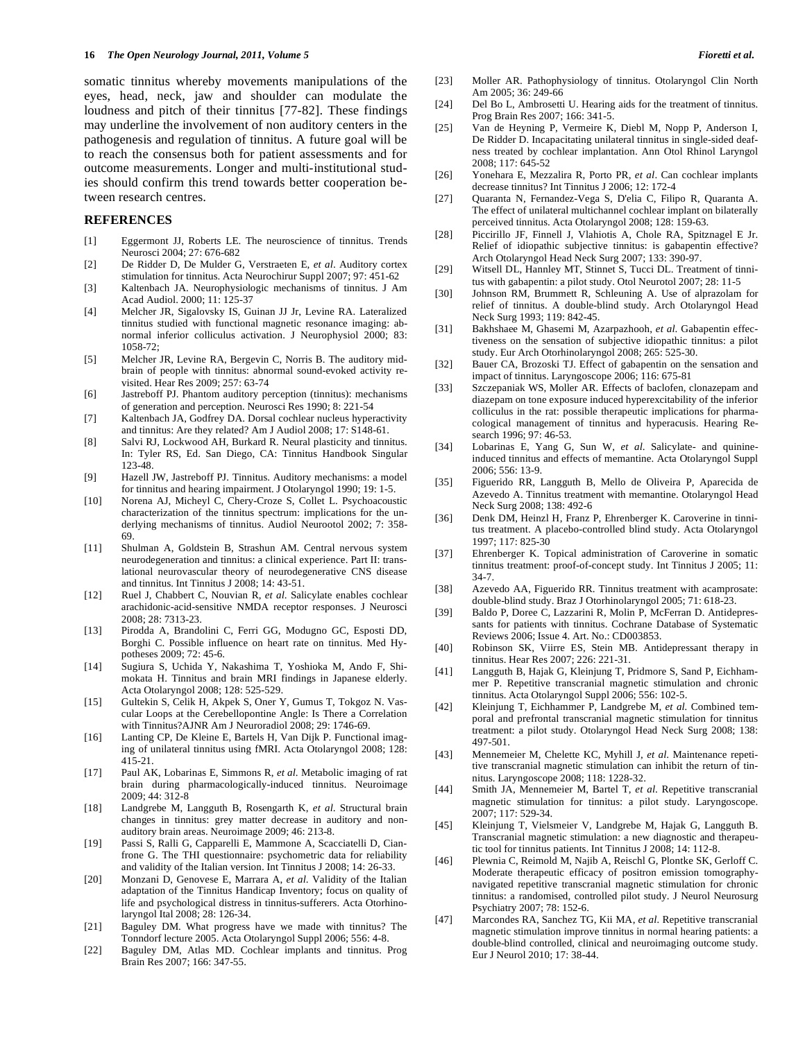somatic tinnitus whereby movements manipulations of the eyes, head, neck, jaw and shoulder can modulate the loudness and pitch of their tinnitus [77-82]. These findings may underline the involvement of non auditory centers in the pathogenesis and regulation of tinnitus. A future goal will be to reach the consensus both for patient assessments and for outcome measurements. Longer and multi-institutional studies should confirm this trend towards better cooperation between research centres.

### **REFERENCES**

- [1] Eggermont JJ, Roberts LE. The neuroscience of tinnitus. Trends Neurosci 2004; 27: 676-682
- [2] De Ridder D, De Mulder G, Verstraeten E, *et al*. Auditory cortex stimulation for tinnitus. Acta Neurochirur Suppl 2007; 97: 451-62
- [3] Kaltenbach JA. Neurophysiologic mechanisms of tinnitus. J Am Acad Audiol. 2000; 11: 125-37
- [4] Melcher JR, Sigalovsky IS, Guinan JJ Jr, Levine RA. Lateralized tinnitus studied with functional magnetic resonance imaging: abnormal inferior colliculus activation. J Neurophysiol 2000; 83: 1058-72;
- [5] Melcher JR, Levine RA, Bergevin C, Norris B. The auditory midbrain of people with tinnitus: abnormal sound-evoked activity revisited. Hear Res 2009; 257: 63-74
- [6] Jastreboff PJ. Phantom auditory perception (tinnitus): mechanisms of generation and perception. Neurosci Res 1990; 8: 221-54
- [7] Kaltenbach JA, Godfrey DA. Dorsal cochlear nucleus hyperactivity and tinnitus: Are they related? Am J Audiol 2008; 17: S148-61.
- [8] Salvi RJ, Lockwood AH, Burkard R. Neural plasticity and tinnitus. In: Tyler RS, Ed. San Diego, CA: Tinnitus Handbook Singular 123-48.
- [9] Hazell JW, Jastreboff PJ. Tinnitus. Auditory mechanisms: a model for tinnitus and hearing impairment. J Otolaryngol 1990; 19: 1-5.
- [10] Norena AJ, Micheyl C, Chery-Croze S, Collet L. Psychoacoustic characterization of the tinnitus spectrum: implications for the underlying mechanisms of tinnitus. Audiol Neurootol 2002; 7: 358- 69.
- [11] Shulman A, Goldstein B, Strashun AM. Central nervous system neurodegeneration and tinnitus: a clinical experience. Part II: translational neurovascular theory of neurodegenerative CNS disease and tinnitus. Int Tinnitus J 2008; 14: 43-51.
- [12] Ruel J, Chabbert C, Nouvian R, *et al*. Salicylate enables cochlear arachidonic-acid-sensitive NMDA receptor responses. J Neurosci 2008; 28: 7313-23.
- [13] Pirodda A, Brandolini C, Ferri GG, Modugno GC, Esposti DD, Borghi C. Possible influence on heart rate on tinnitus. Med Hypotheses 2009; 72: 45-6.
- [14] Sugiura S, Uchida Y, Nakashima T, Yoshioka M, Ando F, Shimokata H. Tinnitus and brain MRI findings in Japanese elderly. Acta Otolaryngol 2008; 128: 525-529.
- [15] Gultekin S, Celik H, Akpek S, Oner Y, Gumus T, Tokgoz N. Vascular Loops at the Cerebellopontine Angle: Is There a Correlation with Tinnitus?AJNR Am J Neuroradiol 2008; 29: 1746-69.
- [16] Lanting CP, De Kleine E, Bartels H, Van Dijk P. Functional imaging of unilateral tinnitus using fMRI. Acta Otolaryngol 2008; 128: 415-21.
- [17] Paul AK, Lobarinas E, Simmons R, *et al*. Metabolic imaging of rat brain during pharmacologically-induced tinnitus. Neuroimage 2009; 44: 312-8
- [18] Landgrebe M, Langguth B, Rosengarth K, *et al*. Structural brain changes in tinnitus: grey matter decrease in auditory and nonauditory brain areas. Neuroimage 2009; 46: 213-8.
- [19] Passi S, Ralli G, Capparelli E, Mammone A, Scacciatelli D, Cianfrone G. The THI questionnaire: psychometric data for reliability and validity of the Italian version. Int Tinnitus J 2008; 14: 26-33.
- [20] Monzani D, Genovese E, Marrara A, *et al*. Validity of the Italian adaptation of the Tinnitus Handicap Inventory; focus on quality of life and psychological distress in tinnitus-sufferers. Acta Otorhinolaryngol Ital 2008; 28: 126-34.
- [21] Baguley DM. What progress have we made with tinnitus? The Tonndorf lecture 2005. Acta Otolaryngol Suppl 2006; 556: 4-8.
- [22] Baguley DM, Atlas MD. Cochlear implants and tinnitus. Prog Brain Res 2007; 166: 347-55.
- [23] Moller AR. Pathophysiology of tinnitus. Otolaryngol Clin North Am 2005; 36: 249-66
- [24] Del Bo L, Ambrosetti U. Hearing aids for the treatment of tinnitus. Prog Brain Res 2007; 166: 341-5.
- [25] Van de Heyning P, Vermeire K, Diebl M, Nopp P, Anderson I, De Ridder D. Incapacitating unilateral tinnitus in single-sided deafness treated by cochlear implantation. Ann Otol Rhinol Laryngol 2008; 117: 645-52
- [26] Yonehara E, Mezzalira R, Porto PR, *et al*. Can cochlear implants decrease tinnitus? Int Tinnitus J 2006; 12: 172-4
- [27] Quaranta N, Fernandez-Vega S, D'elia C, Filipo R, Quaranta A. The effect of unilateral multichannel cochlear implant on bilaterally perceived tinnitus. Acta Otolaryngol 2008; 128: 159-63.
- [28] Piccirillo JF, Finnell J, Vlahiotis A, Chole RA, Spitznagel E Jr. Relief of idiopathic subjective tinnitus: is gabapentin effective? Arch Otolaryngol Head Neck Surg 2007; 133: 390-97.
- [29] Witsell DL, Hannley MT, Stinnet S, Tucci DL. Treatment of tinnitus with gabapentin: a pilot study. Otol Neurotol 2007; 28: 11-5
- [30] Johnson RM, Brummett R, Schleuning A. Use of alprazolam for relief of tinnitus. A double-blind study. Arch Otolaryngol Head Neck Surg 1993; 119: 842-45.
- [31] Bakhshaee M, Ghasemi M, Azarpazhooh, *et al*. Gabapentin effectiveness on the sensation of subjective idiopathic tinnitus: a pilot study. Eur Arch Otorhinolaryngol 2008; 265: 525-30.
- [32] Bauer CA, Brozoski TJ. Effect of gabapentin on the sensation and impact of tinnitus. Laryngoscope 2006; 116: 675-81
- [33] Szczepaniak WS, Moller AR. Effects of baclofen, clonazepam and diazepam on tone exposure induced hyperexcitability of the inferior colliculus in the rat: possible therapeutic implications for pharmacological management of tinnitus and hyperacusis. Hearing Research 1996; 97: 46-53.
- [34] Lobarinas E, Yang G, Sun W, *et al*. Salicylate- and quinineinduced tinnitus and effects of memantine. Acta Otolaryngol Suppl 2006; 556: 13-9.
- [35] Figuerido RR, Langguth B, Mello de Oliveira P, Aparecida de Azevedo A. Tinnitus treatment with memantine. Otolaryngol Head Neck Surg 2008; 138: 492-6
- [36] Denk DM, Heinzl H, Franz P, Ehrenberger K. Caroverine in tinnitus treatment. A placebo-controlled blind study. Acta Otolaryngol 1997; 117: 825-30
- [37] Ehrenberger K. Topical administration of Caroverine in somatic tinnitus treatment: proof-of-concept study. Int Tinnitus J 2005; 11: 34-7.
- [38] Azevedo AA, Figuerido RR. Tinnitus treatment with acamprosate: double-blind study. Braz J Otorhinolaryngol 2005; 71: 618-23.
- [39] Baldo P, Doree C, Lazzarini R, Molin P, McFerran D. Antidepressants for patients with tinnitus. Cochrane Database of Systematic Reviews 2006; Issue 4. Art. No.: CD003853.
- [40] Robinson SK, Viirre ES, Stein MB. Antidepressant therapy in tinnitus. Hear Res 2007; 226: 221-31.
- [41] Langguth B, Hajak G, Kleinjung T, Pridmore S, Sand P, Eichhammer P. Repetitive transcranial magnetic stimulation and chronic tinnitus. Acta Otolaryngol Suppl 2006; 556: 102-5.
- [42] Kleinjung T, Eichhammer P, Landgrebe M, *et al.* Combined temporal and prefrontal transcranial magnetic stimulation for tinnitus treatment: a pilot study. Otolaryngol Head Neck Surg 2008; 138: 497-501.
- [43] Mennemeier M, Chelette KC, Myhill J, *et al*. Maintenance repetitive transcranial magnetic stimulation can inhibit the return of tinnitus. Laryngoscope 2008; 118: 1228-32.
- [44] Smith JA, Mennemeier M, Bartel T, *et al*. Repetitive transcranial magnetic stimulation for tinnitus: a pilot study. Laryngoscope. 2007; 117: 529-34.
- [45] Kleinjung T, Vielsmeier V, Landgrebe M, Hajak G, Langguth B. Transcranial magnetic stimulation: a new diagnostic and therapeutic tool for tinnitus patients. Int Tinnitus J 2008; 14: 112-8.
- [46] Plewnia C, Reimold M, Najib A, Reischl G, Plontke SK, Gerloff C. Moderate therapeutic efficacy of positron emission tomographynavigated repetitive transcranial magnetic stimulation for chronic tinnitus: a randomised, controlled pilot study. J Neurol Neurosurg Psychiatry 2007; 78: 152-6.
- [47] Marcondes RA, Sanchez TG, Kii MA, *et al.* Repetitive transcranial magnetic stimulation improve tinnitus in normal hearing patients: a double-blind controlled, clinical and neuroimaging outcome study. Eur J Neurol 2010; 17: 38-44.